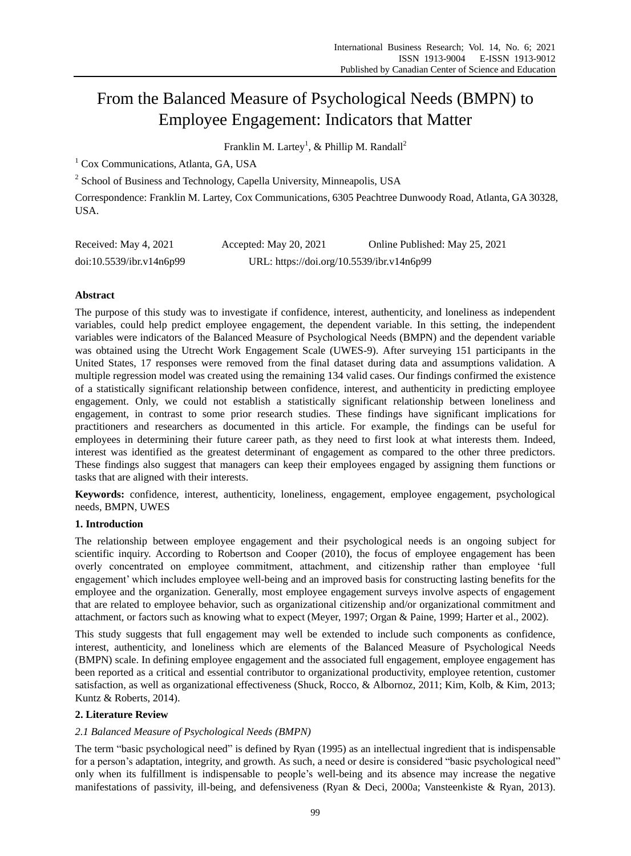# From the Balanced Measure of Psychological Needs (BMPN) to Employee Engagement: Indicators that Matter

Franklin M. Lartey<sup>1</sup>, & Phillip M. Randall<sup>2</sup>

<sup>1</sup> Cox Communications, Atlanta, GA, USA

<sup>2</sup> School of Business and Technology, Capella University, Minneapolis, USA

Correspondence: Franklin M. Lartey, Cox Communications, 6305 Peachtree Dunwoody Road, Atlanta, GA 30328, USA.

| Received: May 4, 2021    | Accepted: May 20, 2021                    | Online Published: May 25, 2021 |
|--------------------------|-------------------------------------------|--------------------------------|
| doi:10.5539/ibr.v14n6p99 | URL: https://doi.org/10.5539/ibr.v14n6p99 |                                |

# **Abstract**

The purpose of this study was to investigate if confidence, interest, authenticity, and loneliness as independent variables, could help predict employee engagement, the dependent variable. In this setting, the independent variables were indicators of the Balanced Measure of Psychological Needs (BMPN) and the dependent variable was obtained using the Utrecht Work Engagement Scale (UWES-9). After surveying 151 participants in the United States, 17 responses were removed from the final dataset during data and assumptions validation. A multiple regression model was created using the remaining 134 valid cases. Our findings confirmed the existence of a statistically significant relationship between confidence, interest, and authenticity in predicting employee engagement. Only, we could not establish a statistically significant relationship between loneliness and engagement, in contrast to some prior research studies. These findings have significant implications for practitioners and researchers as documented in this article. For example, the findings can be useful for employees in determining their future career path, as they need to first look at what interests them. Indeed, interest was identified as the greatest determinant of engagement as compared to the other three predictors. These findings also suggest that managers can keep their employees engaged by assigning them functions or tasks that are aligned with their interests.

**Keywords:** confidence, interest, authenticity, loneliness, engagement, employee engagement, psychological needs, BMPN, UWES

# **1. Introduction**

The relationship between employee engagement and their psychological needs is an ongoing subject for scientific inquiry. According to Robertson and Cooper (2010), the focus of employee engagement has been overly concentrated on employee commitment, attachment, and citizenship rather than employee "full engagement" which includes employee well-being and an improved basis for constructing lasting benefits for the employee and the organization. Generally, most employee engagement surveys involve aspects of engagement that are related to employee behavior, such as organizational citizenship and/or organizational commitment and attachment, or factors such as knowing what to expect (Meyer, 1997; Organ & Paine, 1999; Harter et al., 2002).

This study suggests that full engagement may well be extended to include such components as confidence, interest, authenticity, and loneliness which are elements of the Balanced Measure of Psychological Needs (BMPN) scale. In defining employee engagement and the associated full engagement, employee engagement has been reported as a critical and essential contributor to organizational productivity, employee retention, customer satisfaction, as well as organizational effectiveness (Shuck, Rocco, & Albornoz, 2011; Kim, Kolb, & Kim, 2013; Kuntz & Roberts, 2014).

# **2. Literature Review**

# *2.1 Balanced Measure of Psychological Needs (BMPN)*

The term "basic psychological need" is defined by Ryan (1995) as an intellectual ingredient that is indispensable for a person"s adaptation, integrity, and growth. As such, a need or desire is considered "basic psychological need" only when its fulfillment is indispensable to people"s well-being and its absence may increase the negative manifestations of passivity, ill-being, and defensiveness (Ryan & Deci, 2000a; Vansteenkiste & Ryan, 2013).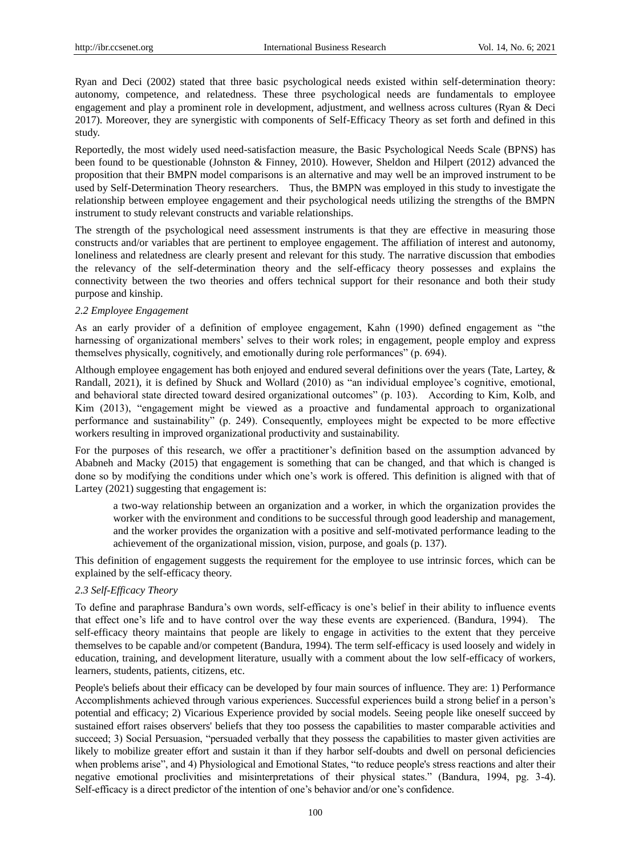Ryan and Deci (2002) stated that three basic psychological needs existed within self-determination theory: autonomy, competence, and relatedness. These three psychological needs are fundamentals to employee engagement and play a prominent role in development, adjustment, and wellness across cultures (Ryan & Deci 2017). Moreover, they are synergistic with components of Self-Efficacy Theory as set forth and defined in this study.

Reportedly, the most widely used need-satisfaction measure, the Basic Psychological Needs Scale (BPNS) has been found to be questionable (Johnston & Finney, 2010). However, Sheldon and Hilpert (2012) advanced the proposition that their BMPN model comparisons is an alternative and may well be an improved instrument to be used by Self-Determination Theory researchers. Thus, the BMPN was employed in this study to investigate the relationship between employee engagement and their psychological needs utilizing the strengths of the BMPN instrument to study relevant constructs and variable relationships.

The strength of the psychological need assessment instruments is that they are effective in measuring those constructs and/or variables that are pertinent to employee engagement. The affiliation of interest and autonomy, loneliness and relatedness are clearly present and relevant for this study. The narrative discussion that embodies the relevancy of the self-determination theory and the self-efficacy theory possesses and explains the connectivity between the two theories and offers technical support for their resonance and both their study purpose and kinship.

# *2.2 Employee Engagement*

As an early provider of a definition of employee engagement, Kahn (1990) defined engagement as "the harnessing of organizational members' selves to their work roles; in engagement, people employ and express themselves physically, cognitively, and emotionally during role performances" (p. 694).

Although employee engagement has both enjoyed and endured several definitions over the years (Tate, Lartey, & Randall, 2021), it is defined by Shuck and Wollard (2010) as "an individual employee's cognitive, emotional, and behavioral state directed toward desired organizational outcomes" (p. 103). According to Kim, Kolb, and Kim (2013), "engagement might be viewed as a proactive and fundamental approach to organizational performance and sustainability" (p. 249). Consequently, employees might be expected to be more effective workers resulting in improved organizational productivity and sustainability.

For the purposes of this research, we offer a practitioner's definition based on the assumption advanced by Ababneh and Macky (2015) that engagement is something that can be changed, and that which is changed is done so by modifying the conditions under which one"s work is offered. This definition is aligned with that of Lartey (2021) suggesting that engagement is:

a two-way relationship between an organization and a worker, in which the organization provides the worker with the environment and conditions to be successful through good leadership and management, and the worker provides the organization with a positive and self-motivated performance leading to the achievement of the organizational mission, vision, purpose, and goals (p. 137).

This definition of engagement suggests the requirement for the employee to use intrinsic forces, which can be explained by the self-efficacy theory.

# *2.3 Self-Efficacy Theory*

To define and paraphrase Bandura"s own words, self-efficacy is one"s belief in their ability to influence events that effect one"s life and to have control over the way these events are experienced. (Bandura, 1994). The self-efficacy theory maintains that people are likely to engage in activities to the extent that they perceive themselves to be capable and/or competent (Bandura, 1994). The term self-efficacy is used loosely and widely in education, training, and development literature, usually with a comment about the low self-efficacy of workers, learners, students, patients, citizens, etc.

People's beliefs about their efficacy can be developed by four main sources of influence. They are: 1) Performance Accomplishments achieved through various experiences. Successful experiences build a strong belief in a person"s potential and efficacy; 2) Vicarious Experience provided by social models. Seeing people like oneself succeed by sustained effort raises observers' beliefs that they too possess the capabilities to master comparable activities and succeed; 3) Social Persuasion, "persuaded verbally that they possess the capabilities to master given activities are likely to mobilize greater effort and sustain it than if they harbor self-doubts and dwell on personal deficiencies when problems arise", and 4) Physiological and Emotional States, "to reduce people's stress reactions and alter their negative emotional proclivities and misinterpretations of their physical states." (Bandura, 1994, pg. 3-4). Self-efficacy is a direct predictor of the intention of one"s behavior and/or one"s confidence.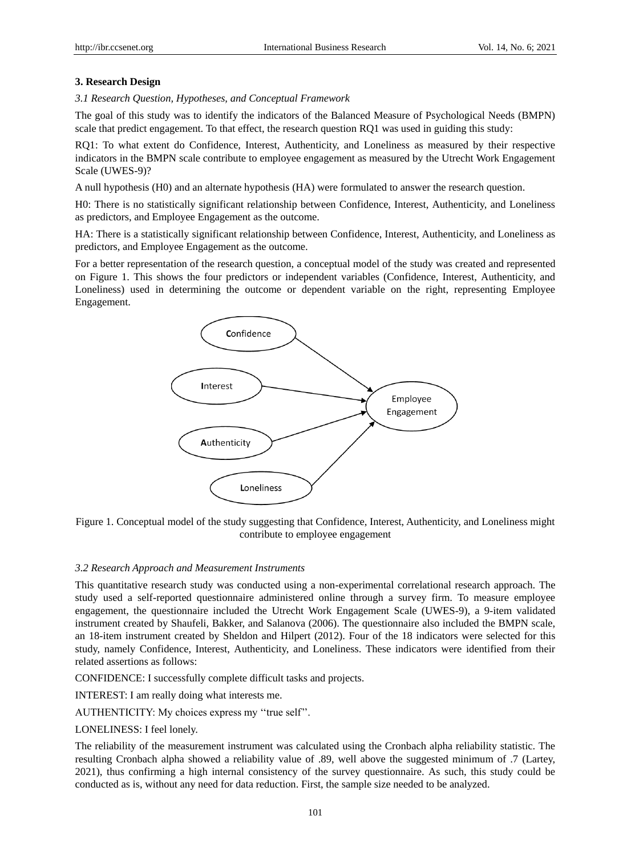# **3. Research Design**

*3.1 Research Question, Hypotheses, and Conceptual Framework*

The goal of this study was to identify the indicators of the Balanced Measure of Psychological Needs (BMPN) scale that predict engagement. To that effect, the research question RQ1 was used in guiding this study:

RQ1: To what extent do Confidence, Interest, Authenticity, and Loneliness as measured by their respective indicators in the BMPN scale contribute to employee engagement as measured by the Utrecht Work Engagement Scale (UWES-9)?

A null hypothesis (H0) and an alternate hypothesis (HA) were formulated to answer the research question.

H0: There is no statistically significant relationship between Confidence, Interest, Authenticity, and Loneliness as predictors, and Employee Engagement as the outcome.

HA: There is a statistically significant relationship between Confidence, Interest, Authenticity, and Loneliness as predictors, and Employee Engagement as the outcome.

For a better representation of the research question, a conceptual model of the study was created and represented on Figure 1. This shows the four predictors or independent variables (Confidence, Interest, Authenticity, and Loneliness) used in determining the outcome or dependent variable on the right, representing Employee Engagement.



Figure 1. Conceptual model of the study suggesting that Confidence, Interest, Authenticity, and Loneliness might contribute to employee engagement

# *3.2 Research Approach and Measurement Instruments*

This quantitative research study was conducted using a non-experimental correlational research approach. The study used a self-reported questionnaire administered online through a survey firm. To measure employee engagement, the questionnaire included the Utrecht Work Engagement Scale (UWES-9), a 9-item validated instrument created by Shaufeli, Bakker, and Salanova (2006). The questionnaire also included the BMPN scale, an 18-item instrument created by Sheldon and Hilpert (2012). Four of the 18 indicators were selected for this study, namely Confidence, Interest, Authenticity, and Loneliness. These indicators were identified from their related assertions as follows:

CONFIDENCE: I successfully complete difficult tasks and projects.

INTEREST: I am really doing what interests me.

AUTHENTICITY: My choices express my "true self".

LONELINESS: I feel lonely.

The reliability of the measurement instrument was calculated using the Cronbach alpha reliability statistic. The resulting Cronbach alpha showed a reliability value of .89, well above the suggested minimum of .7 (Lartey, 2021), thus confirming a high internal consistency of the survey questionnaire. As such, this study could be conducted as is, without any need for data reduction. First, the sample size needed to be analyzed.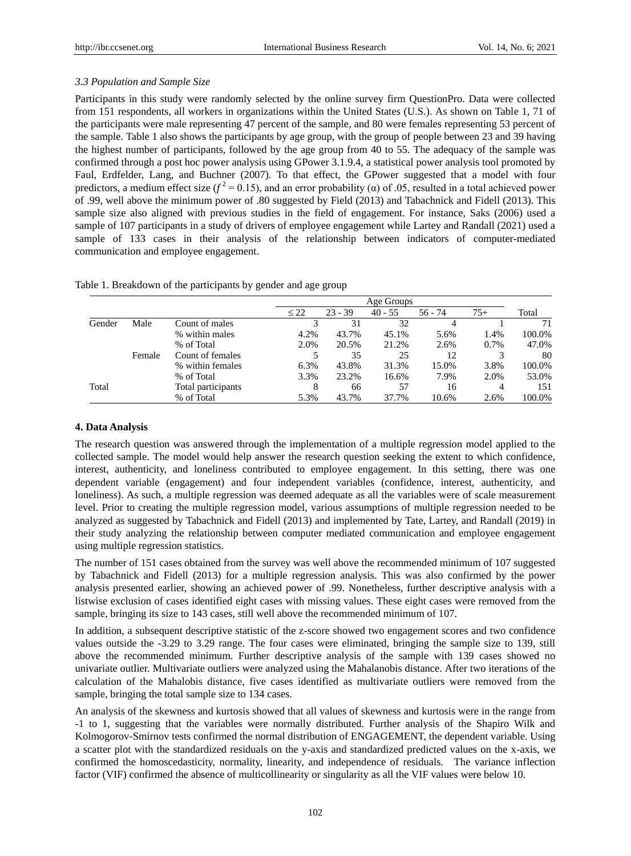# *3.3 Population and Sample Size*

Participants in this study were randomly selected by the online survey firm QuestionPro. Data were collected from 151 respondents, all workers in organizations within the United States (U.S.). As shown on Table 1, 71 of the participants were male representing 47 percent of the sample, and 80 were females representing 53 percent of the sample. Table 1 also shows the participants by age group, with the group of people between 23 and 39 having the highest number of participants, followed by the age group from 40 to 55. The adequacy of the sample was confirmed through a post hoc power analysis using GPower 3.1.9.4, a statistical power analysis tool promoted by Faul, Erdfelder, Lang, and Buchner (2007). To that effect, the GPower suggested that a model with four predictors, a medium effect size ( $f^2$  = 0.15), and an error probability (α) of .05, resulted in a total achieved power of .99, well above the minimum power of .80 suggested by Field (2013) and Tabachnick and Fidell (2013). This sample size also aligned with previous studies in the field of engagement. For instance, Saks (2006) used a sample of 107 participants in a study of drivers of employee engagement while Lartey and Randall (2021) used a sample of 133 cases in their analysis of the relationship between indicators of computer-mediated communication and employee engagement.

|  | Table 1. Breakdown of the participants by gender and age group |  |  |  |  |  |  |  |
|--|----------------------------------------------------------------|--|--|--|--|--|--|--|
|--|----------------------------------------------------------------|--|--|--|--|--|--|--|

|        |        |                    |           | Age Groups |           |           |       |        |
|--------|--------|--------------------|-----------|------------|-----------|-----------|-------|--------|
|        |        |                    | $\leq 22$ | $23 - 39$  | $40 - 55$ | $56 - 74$ | $75+$ | Total  |
| Gender | Male   | Count of males     |           | 31         | 32        |           |       | 71     |
|        |        | % within males     | 4.2%      | 43.7%      | 45.1%     | 5.6%      | 1.4%  | 100.0% |
|        |        | % of Total         | 2.0%      | 20.5%      | 21.2%     | 2.6%      | 0.7%  | 47.0%  |
|        | Female | Count of females   |           | 35         | 25        | 12        |       | 80     |
|        |        | % within females   | 6.3%      | 43.8%      | 31.3%     | 15.0%     | 3.8%  | 100.0% |
|        |        | % of Total         | 3.3%      | 23.2%      | 16.6%     | 7.9%      | 2.0%  | 53.0%  |
| Total  |        | Total participants | 8         | 66         | 57        | 16        | 4     | 151    |
|        |        | % of Total         | 5.3%      | 43.7%      | 37.7%     | 10.6%     | 2.6%  | 100.0% |

# **4. Data Analysis**

The research question was answered through the implementation of a multiple regression model applied to the collected sample. The model would help answer the research question seeking the extent to which confidence, interest, authenticity, and loneliness contributed to employee engagement. In this setting, there was one dependent variable (engagement) and four independent variables (confidence, interest, authenticity, and loneliness). As such, a multiple regression was deemed adequate as all the variables were of scale measurement level. Prior to creating the multiple regression model, various assumptions of multiple regression needed to be analyzed as suggested by Tabachnick and Fidell (2013) and implemented by Tate, Lartey, and Randall (2019) in their study analyzing the relationship between computer mediated communication and employee engagement using multiple regression statistics.

The number of 151 cases obtained from the survey was well above the recommended minimum of 107 suggested by Tabachnick and Fidell (2013) for a multiple regression analysis. This was also confirmed by the power analysis presented earlier, showing an achieved power of .99. Nonetheless, further descriptive analysis with a listwise exclusion of cases identified eight cases with missing values. These eight cases were removed from the sample, bringing its size to 143 cases, still well above the recommended minimum of 107.

In addition, a subsequent descriptive statistic of the z-score showed two engagement scores and two confidence values outside the -3.29 to 3.29 range. The four cases were eliminated, bringing the sample size to 139, still above the recommended minimum. Further descriptive analysis of the sample with 139 cases showed no univariate outlier. Multivariate outliers were analyzed using the Mahalanobis distance. After two iterations of the calculation of the Mahalobis distance, five cases identified as multivariate outliers were removed from the sample, bringing the total sample size to 134 cases.

An analysis of the skewness and kurtosis showed that all values of skewness and kurtosis were in the range from -1 to 1, suggesting that the variables were normally distributed. Further analysis of the Shapiro Wilk and Kolmogorov-Smirnov tests confirmed the normal distribution of ENGAGEMENT, the dependent variable. Using a scatter plot with the standardized residuals on the y-axis and standardized predicted values on the x-axis, we confirmed the homoscedasticity, normality, linearity, and independence of residuals. The variance inflection factor (VIF) confirmed the absence of multicollinearity or singularity as all the VIF values were below 10.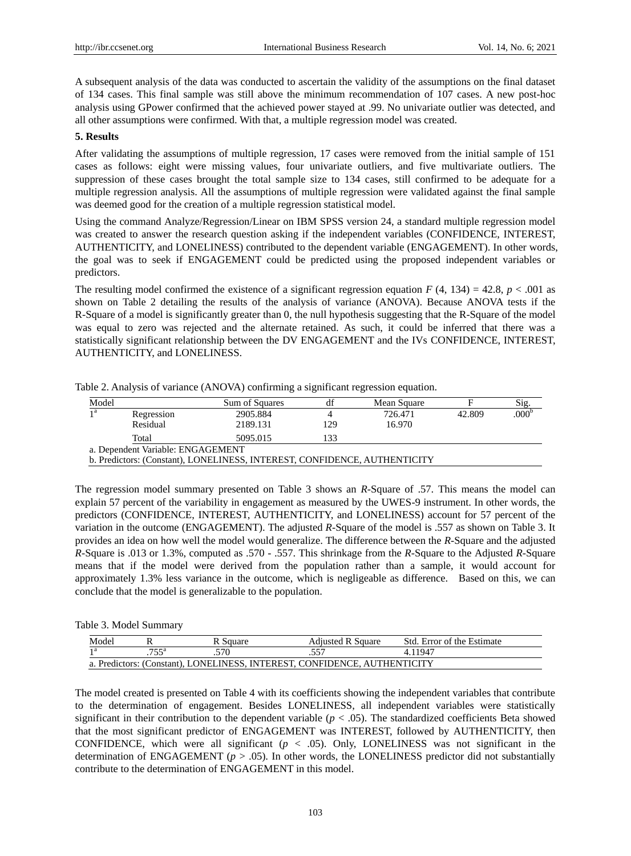A subsequent analysis of the data was conducted to ascertain the validity of the assumptions on the final dataset of 134 cases. This final sample was still above the minimum recommendation of 107 cases. A new post-hoc analysis using GPower confirmed that the achieved power stayed at .99. No univariate outlier was detected, and all other assumptions were confirmed. With that, a multiple regression model was created.

# **5. Results**

After validating the assumptions of multiple regression, 17 cases were removed from the initial sample of 151 cases as follows: eight were missing values, four univariate outliers, and five multivariate outliers. The suppression of these cases brought the total sample size to 134 cases, still confirmed to be adequate for a multiple regression analysis. All the assumptions of multiple regression were validated against the final sample was deemed good for the creation of a multiple regression statistical model.

Using the command Analyze/Regression/Linear on IBM SPSS version 24, a standard multiple regression model was created to answer the research question asking if the independent variables (CONFIDENCE, INTEREST, AUTHENTICITY, and LONELINESS) contributed to the dependent variable (ENGAGEMENT). In other words, the goal was to seek if ENGAGEMENT could be predicted using the proposed independent variables or predictors.

The resulting model confirmed the existence of a significant regression equation  $F(4, 134) = 42.8$ ,  $p < .001$  as shown on Table 2 detailing the results of the analysis of variance (ANOVA). Because ANOVA tests if the R-Square of a model is significantly greater than 0, the null hypothesis suggesting that the R-Square of the model was equal to zero was rejected and the alternate retained. As such, it could be inferred that there was a statistically significant relationship between the DV ENGAGEMENT and the IVs CONFIDENCE, INTEREST, AUTHENTICITY, and LONELINESS.

| Model                             |                                                                           | Sum of Squares | df  | Mean Square |        | Sig.              |  |  |  |  |  |
|-----------------------------------|---------------------------------------------------------------------------|----------------|-----|-------------|--------|-------------------|--|--|--|--|--|
| a                                 | Regression                                                                | 2905.884       |     | 726.471     | 42.809 | .000 <sup>b</sup> |  |  |  |  |  |
|                                   | Residual                                                                  | 2189.131       | 129 | 16.970      |        |                   |  |  |  |  |  |
|                                   | Total                                                                     | 5095.015       | 133 |             |        |                   |  |  |  |  |  |
| a. Dependent Variable: ENGAGEMENT |                                                                           |                |     |             |        |                   |  |  |  |  |  |
|                                   | b. Predictors: (Constant), LONELINESS, INTEREST, CONFIDENCE, AUTHENTICITY |                |     |             |        |                   |  |  |  |  |  |

Table 2. Analysis of variance (ANOVA) confirming a significant regression equation.

The regression model summary presented on Table 3 shows an *R*-Square of .57. This means the model can explain 57 percent of the variability in engagement as measured by the UWES-9 instrument. In other words, the predictors (CONFIDENCE, INTEREST, AUTHENTICITY, and LONELINESS) account for 57 percent of the variation in the outcome (ENGAGEMENT). The adjusted *R*-Square of the model is .557 as shown on Table 3. It provides an idea on how well the model would generalize. The difference between the *R*-Square and the adjusted *R*-Square is .013 or 1.3%, computed as .570 - .557. This shrinkage from the *R*-Square to the Adjusted *R*-Square means that if the model were derived from the population rather than a sample, it would account for approximately 1.3% less variance in the outcome, which is negligeable as difference. Based on this, we can conclude that the model is generalizable to the population.

#### Table 3. Model Summary

| Model                                                                     |      | Square | <b>Adjusted R Square</b> | Std. Error of the Estimate |  |  |  |
|---------------------------------------------------------------------------|------|--------|--------------------------|----------------------------|--|--|--|
|                                                                           | πετa | .570   |                          | 4 1 1 9 4 7                |  |  |  |
| a. Predictors: (Constant), LONELINESS, INTEREST, CONFIDENCE, AUTHENTICITY |      |        |                          |                            |  |  |  |

The model created is presented on Table 4 with its coefficients showing the independent variables that contribute to the determination of engagement. Besides LONELINESS, all independent variables were statistically significant in their contribution to the dependent variable ( $p < .05$ ). The standardized coefficients Beta showed that the most significant predictor of ENGAGEMENT was INTEREST, followed by AUTHENTICITY, then CONFIDENCE, which were all significant  $(p < .05)$ . Only, LONELINESS was not significant in the determination of ENGAGEMENT ( $p > .05$ ). In other words, the LONELINESS predictor did not substantially contribute to the determination of ENGAGEMENT in this model.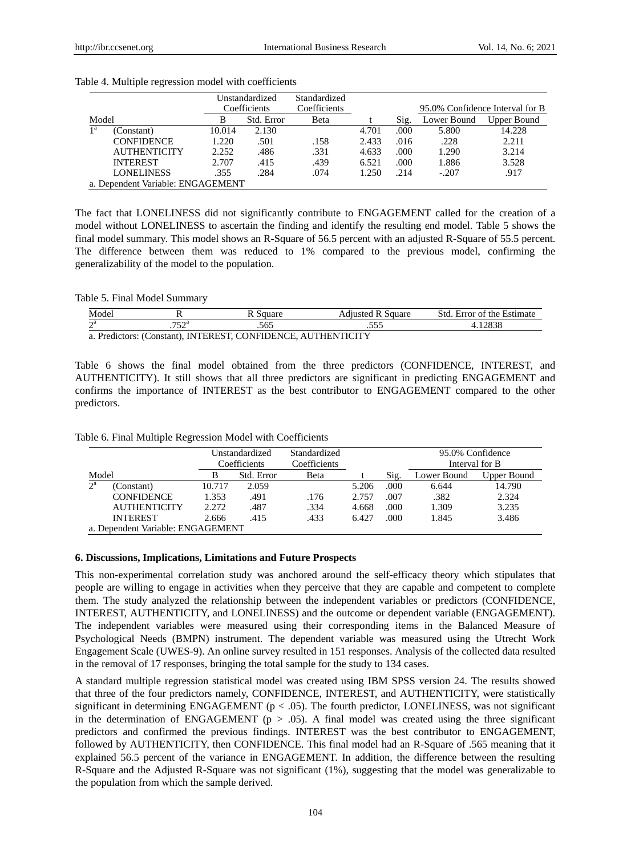|                                   |                     |        | Unstandardized | Standardized |       |      |             |                                 |
|-----------------------------------|---------------------|--------|----------------|--------------|-------|------|-------------|---------------------------------|
|                                   |                     |        | Coefficients   | Coefficients |       |      |             | 95.0% Confidence Interval for B |
| Model                             |                     | B      | Std. Error     | Beta         |       | Sig. | Lower Bound | Upper Bound                     |
| 1 <sup>a</sup>                    | (Constant)          | 10.014 | 2.130          |              | 4.701 | .000 | 5.800       | 14.228                          |
|                                   | <b>CONFIDENCE</b>   | 1.220  | .501           | .158         | 2.433 | .016 | .228        | 2.211                           |
|                                   | <b>AUTHENTICITY</b> | 2.252  | .486           | .331         | 4.633 | .000 | 1.290       | 3.214                           |
|                                   | <b>INTEREST</b>     | 2.707  | .415           | .439         | 6.521 | .000 | 1.886       | 3.528                           |
|                                   | <b>LONELINESS</b>   | .355   | .284           | .074         | 1.250 | .214 | $-.207$     | .917                            |
| a. Dependent Variable: ENGAGEMENT |                     |        |                |              |       |      |             |                                 |

## Table 4. Multiple regression model with coefficients

The fact that LONELINESS did not significantly contribute to ENGAGEMENT called for the creation of a model without LONELINESS to ascertain the finding and identify the resulting end model. Table 5 shows the final model summary. This model shows an R-Square of 56.5 percent with an adjusted R-Square of 55.5 percent. The difference between them was reduced to 1% compared to the previous model, confirming the generalizability of the model to the population.

# Table 5. Final Model Summary

| Model                                                                                   |                          | square | Square | Std<br>Estimate<br>Error of<br>the |  |  |  |  |
|-----------------------------------------------------------------------------------------|--------------------------|--------|--------|------------------------------------|--|--|--|--|
| $\mathbf{a}$<br>-                                                                       | −r∩a<br>ے ر <sub>ا</sub> | .565   | $\sim$ | 0000                               |  |  |  |  |
| a. Predictors: (Constant). INTEREST. CONFIDENCE. AUT<br><b>TICITY</b><br>' I Fi Ni<br>. |                          |        |        |                                    |  |  |  |  |

Table 6 shows the final model obtained from the three predictors (CONFIDENCE, INTEREST, and AUTHENTICITY). It still shows that all three predictors are significant in predicting ENGAGEMENT and confirms the importance of INTEREST as the best contributor to ENGAGEMENT compared to the other predictors.

|  |  |  |  |  |  | Table 6. Final Multiple Regression Model with Coefficients |
|--|--|--|--|--|--|------------------------------------------------------------|
|--|--|--|--|--|--|------------------------------------------------------------|

|             |                                   | Unstandardized<br>Coefficients |            | Standardized<br>Coefficients |       | 95.0% Confidence<br>Interval for B |             |             |  |
|-------------|-----------------------------------|--------------------------------|------------|------------------------------|-------|------------------------------------|-------------|-------------|--|
| Model       |                                   | в                              | Std. Error | <b>Beta</b>                  |       | Sig.                               | Lower Bound | Upper Bound |  |
| $2^{\rm a}$ | (Constant)                        | 10.717                         | 2.059      |                              | 5.206 | .000                               | 6.644       | 14.790      |  |
|             | <b>CONFIDENCE</b>                 | 1.353                          | .491       | .176                         | 2.757 | .007                               | .382        | 2.324       |  |
|             | <b>AUTHENTICITY</b>               | 2.272                          | .487       | .334                         | 4.668 | .000                               | 1.309       | 3.235       |  |
|             | <b>INTEREST</b>                   | 2.666                          | .415       | .433                         | 6.427 | .000                               | 1.845       | 3.486       |  |
|             | a. Dependent Variable: ENGAGEMENT |                                |            |                              |       |                                    |             |             |  |

# **6. Discussions, Implications, Limitations and Future Prospects**

This non-experimental correlation study was anchored around the self-efficacy theory which stipulates that people are willing to engage in activities when they perceive that they are capable and competent to complete them. The study analyzed the relationship between the independent variables or predictors (CONFIDENCE, INTEREST, AUTHENTICITY, and LONELINESS) and the outcome or dependent variable (ENGAGEMENT). The independent variables were measured using their corresponding items in the Balanced Measure of Psychological Needs (BMPN) instrument. The dependent variable was measured using the Utrecht Work Engagement Scale (UWES-9). An online survey resulted in 151 responses. Analysis of the collected data resulted in the removal of 17 responses, bringing the total sample for the study to 134 cases.

A standard multiple regression statistical model was created using IBM SPSS version 24. The results showed that three of the four predictors namely, CONFIDENCE, INTEREST, and AUTHENTICITY, were statistically significant in determining ENGAGEMENT ( $p < .05$ ). The fourth predictor, LONELINESS, was not significant in the determination of ENGAGEMENT ( $p > .05$ ). A final model was created using the three significant predictors and confirmed the previous findings. INTEREST was the best contributor to ENGAGEMENT, followed by AUTHENTICITY, then CONFIDENCE. This final model had an R-Square of .565 meaning that it explained 56.5 percent of the variance in ENGAGEMENT. In addition, the difference between the resulting R-Square and the Adjusted R-Square was not significant (1%), suggesting that the model was generalizable to the population from which the sample derived.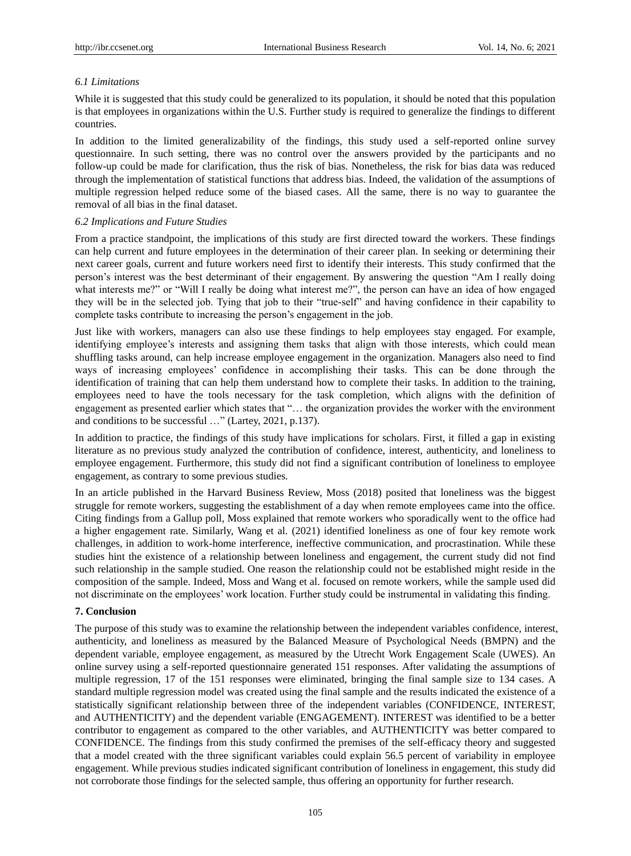# *6.1 Limitations*

While it is suggested that this study could be generalized to its population, it should be noted that this population is that employees in organizations within the U.S. Further study is required to generalize the findings to different countries.

In addition to the limited generalizability of the findings, this study used a self-reported online survey questionnaire. In such setting, there was no control over the answers provided by the participants and no follow-up could be made for clarification, thus the risk of bias. Nonetheless, the risk for bias data was reduced through the implementation of statistical functions that address bias. Indeed, the validation of the assumptions of multiple regression helped reduce some of the biased cases. All the same, there is no way to guarantee the removal of all bias in the final dataset.

# *6.2 Implications and Future Studies*

From a practice standpoint, the implications of this study are first directed toward the workers. These findings can help current and future employees in the determination of their career plan. In seeking or determining their next career goals, current and future workers need first to identify their interests. This study confirmed that the person"s interest was the best determinant of their engagement. By answering the question "Am I really doing what interests me?" or "Will I really be doing what interest me?", the person can have an idea of how engaged they will be in the selected job. Tying that job to their "true-self" and having confidence in their capability to complete tasks contribute to increasing the person's engagement in the job.

Just like with workers, managers can also use these findings to help employees stay engaged. For example, identifying employee's interests and assigning them tasks that align with those interests, which could mean shuffling tasks around, can help increase employee engagement in the organization. Managers also need to find ways of increasing employees" confidence in accomplishing their tasks. This can be done through the identification of training that can help them understand how to complete their tasks. In addition to the training, employees need to have the tools necessary for the task completion, which aligns with the definition of engagement as presented earlier which states that "… the organization provides the worker with the environment and conditions to be successful …" (Lartey, 2021, p.137).

In addition to practice, the findings of this study have implications for scholars. First, it filled a gap in existing literature as no previous study analyzed the contribution of confidence, interest, authenticity, and loneliness to employee engagement. Furthermore, this study did not find a significant contribution of loneliness to employee engagement, as contrary to some previous studies.

In an article published in the Harvard Business Review, Moss (2018) posited that loneliness was the biggest struggle for remote workers, suggesting the establishment of a day when remote employees came into the office. Citing findings from a Gallup poll, Moss explained that remote workers who sporadically went to the office had a higher engagement rate. Similarly, Wang et al. (2021) identified loneliness as one of four key remote work challenges, in addition to work-home interference, ineffective communication, and procrastination. While these studies hint the existence of a relationship between loneliness and engagement, the current study did not find such relationship in the sample studied. One reason the relationship could not be established might reside in the composition of the sample. Indeed, Moss and Wang et al. focused on remote workers, while the sample used did not discriminate on the employees" work location. Further study could be instrumental in validating this finding.

# **7. Conclusion**

The purpose of this study was to examine the relationship between the independent variables confidence, interest, authenticity, and loneliness as measured by the Balanced Measure of Psychological Needs (BMPN) and the dependent variable, employee engagement, as measured by the Utrecht Work Engagement Scale (UWES). An online survey using a self-reported questionnaire generated 151 responses. After validating the assumptions of multiple regression, 17 of the 151 responses were eliminated, bringing the final sample size to 134 cases. A standard multiple regression model was created using the final sample and the results indicated the existence of a statistically significant relationship between three of the independent variables (CONFIDENCE, INTEREST, and AUTHENTICITY) and the dependent variable (ENGAGEMENT). INTEREST was identified to be a better contributor to engagement as compared to the other variables, and AUTHENTICITY was better compared to CONFIDENCE. The findings from this study confirmed the premises of the self-efficacy theory and suggested that a model created with the three significant variables could explain 56.5 percent of variability in employee engagement. While previous studies indicated significant contribution of loneliness in engagement, this study did not corroborate those findings for the selected sample, thus offering an opportunity for further research.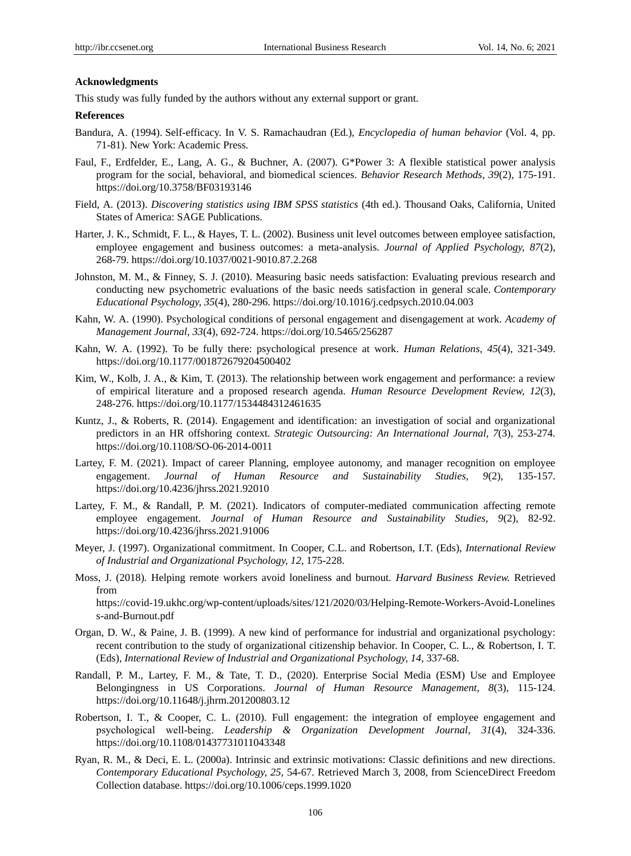## **Acknowledgments**

This study was fully funded by the authors without any external support or grant.

#### **References**

- Bandura, A. (1994). Self-efficacy. In V. S. Ramachaudran (Ed.), *Encyclopedia of human behavior* (Vol. 4, pp. 71-81). New York: Academic Press.
- Faul, F., Erdfelder, E., Lang, A. G., & Buchner, A. (2007). G\*Power 3: A flexible statistical power analysis program for the social, behavioral, and biomedical sciences. *Behavior Research Methods, 39*(2), 175-191. https://doi.org/10.3758/BF03193146
- Field, A. (2013). *Discovering statistics using IBM SPSS statistics* (4th ed.). Thousand Oaks, California, United States of America: SAGE Publications.
- Harter, J. K., Schmidt, F. L., & Hayes, T. L. (2002). Business unit level outcomes between employee satisfaction, employee engagement and business outcomes: a meta-analysis. *Journal of Applied Psychology, 87*(2), 268-79. https://doi.org/10.1037/0021-9010.87.2.268
- Johnston, M. M., & Finney, S. J. (2010). Measuring basic needs satisfaction: Evaluating previous research and conducting new psychometric evaluations of the basic needs satisfaction in general scale. *Contemporary Educational Psychology, 35*(4), 280-296. https://doi.org/10.1016/j.cedpsych.2010.04.003
- Kahn, W. A. (1990). Psychological conditions of personal engagement and disengagement at work. *Academy of Management Journal, 33*(4), 692-724. https://doi.org/10.5465/256287
- Kahn, W. A. (1992). To be fully there: psychological presence at work. *Human Relations*, *45*(4), 321-349. https://doi.org/10.1177/001872679204500402
- Kim, W., Kolb, J. A., & Kim, T. (2013). The relationship between work engagement and performance: a review of empirical literature and a proposed research agenda. *Human Resource Development Review, 12*(3), 248-276. https://doi.org/10.1177/1534484312461635
- Kuntz, J., & Roberts, R. (2014). Engagement and identification: an investigation of social and organizational predictors in an HR offshoring context. *Strategic Outsourcing: An International Journal, 7*(3), 253-274. https://doi.org/10.1108/SO-06-2014-0011
- Lartey, F. M. (2021). Impact of career Planning, employee autonomy, and manager recognition on employee engagement. *Journal of Human Resource and Sustainability Studies, 9*(2), 135-157. https://doi.org/10.4236/jhrss.2021.92010
- Lartey, F. M., & Randall, P. M. (2021). Indicators of computer-mediated communication affecting remote employee engagement. *Journal of Human Resource and Sustainability Studies, 9*(2), 82-92. <https://doi.org/10.4236/jhrss.2021.91006>
- Meyer, J. (1997). Organizational commitment. In Cooper, C.L. and Robertson, I.T. (Eds), *International Review of Industrial and Organizational Psychology, 12,* 175-228.
- Moss, J. (2018). Helping remote workers avoid loneliness and burnout. *Harvard Business Review.* Retrieved from https://covid-19.ukhc.org/wp-content/uploads/sites/121/2020/03/Helping-Remote-Workers-Avoid-Lonelines s-and-Burnout.pdf
- Organ, D. W., & Paine, J. B. (1999). A new kind of performance for industrial and organizational psychology: recent contribution to the study of organizational citizenship behavior. In Cooper, C. L., & Robertson, I. T. (Eds), *International Review of Industrial and Organizational Psychology, 14,* 337-68.
- Randall, P. M., Lartey, F. M., & Tate, T. D., (2020). Enterprise Social Media (ESM) Use and Employee Belongingness in US Corporations. *Journal of Human Resource Management, 8*(3), 115-124. https://doi.org/10.11648/j.jhrm.201200803.12
- Robertson, I. T., & Cooper, C. L. (2010). Full engagement: the integration of employee engagement and psychological well‐being. *Leadership & Organization Development Journal*, *31*(4), 324-336. https://doi.org/10.1108/01437731011043348
- Ryan, R. M., & Deci, E. L. (2000a). Intrinsic and extrinsic motivations: Classic definitions and new directions. *Contemporary Educational Psychology, 25,* 54-67. Retrieved March 3, 2008, from ScienceDirect Freedom Collection database. https://doi.org/10.1006/ceps.1999.1020